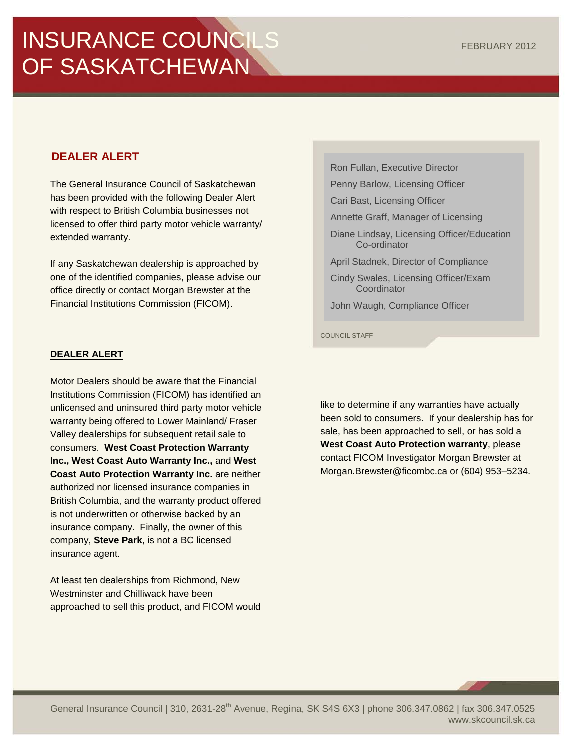# INSURANCE COUNCILS OF SASKATCHEWAN

# **DEALER ALERT**

The General Insurance Council of Saskatchewan has been provided with the following Dealer Alert with respect to British Columbia businesses not licensed to offer third party motor vehicle warranty/ extended warranty.

If any Saskatchewan dealership is approached by one of the identified companies, please advise our office directly or contact Morgan Brewster at the Financial Institutions Commission (FICOM).

## **DEALER ALERT**

Motor Dealers should be aware that the Financial Institutions Commission (FICOM) has identified an unlicensed and uninsured third party motor vehicle warranty being offered to Lower Mainland/ Fraser Valley dealerships for subsequent retail sale to consumers. **West Coast Protection Warranty Inc., West Coast Auto Warranty Inc.,** and **West Coast Auto Protection Warranty Inc.** are neither authorized nor licensed insurance companies in British Columbia, and the warranty product offered is not underwritten or otherwise backed by an insurance company. Finally, the owner of this company, **Steve Park**, is not a BC licensed insurance agent.

At least ten dealerships from Richmond, New Westminster and Chilliwack have been approached to sell this product, and FICOM would

Ron Fullan, Executive Director Penny Barlow, Licensing Officer Cari Bast, Licensing Officer Annette Graff, Manager of Licensing Diane Lindsay, Licensing Officer/Education Co-ordinator April Stadnek, Director of Compliance Cindy Swales, Licensing Officer/Exam **Coordinator** John Waugh, Compliance Officer

COUNCIL STAFF

like to determine if any warranties have actually been sold to consumers. If your dealership has for sale, has been approached to sell, or has sold a **West Coast Auto Protection warranty**, please contact FICOM Investigator Morgan Brewster at [Morgan.Brewster@ficombc.ca](mailto:Morgan.Brewster@ficombc.ca) or (604) 953–5234.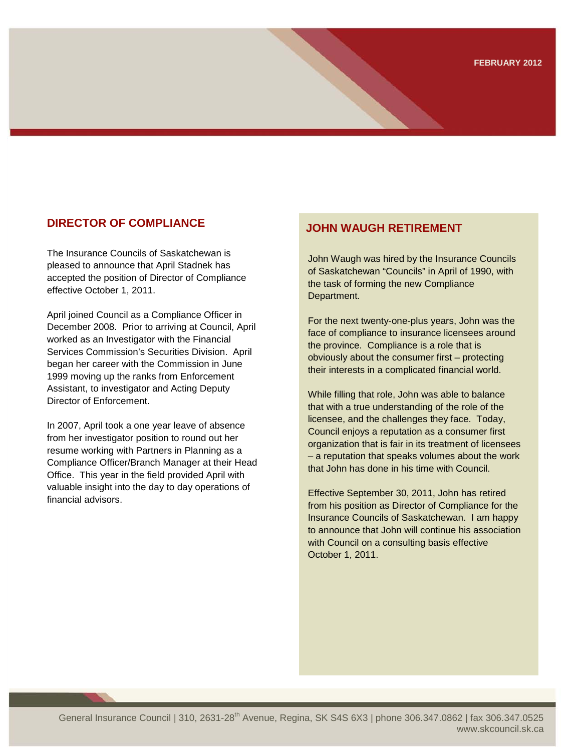# **DIRECTOR OF COMPLIANCE DIRECTOR OF COMPLIANCE**

The Insurance Councils of Saskatchewan is pleased to announce that April Stadnek has accepted the position of Director of Compliance effective October 1, 2011.

April joined Council as a Compliance Officer in December 2008. Prior to arriving at Council, April worked as an Investigator with the Financial Services Commission's Securities Division. April began her career with the Commission in June 1999 moving up the ranks from Enforcement Assistant, to investigator and Acting Deputy Director of Enforcement.

In 2007, April took a one year leave of absence from her investigator position to round out her resume working with Partners in Planning as a Compliance Officer/Branch Manager at their Head Office. This year in the field provided April with valuable insight into the day to day operations of financial advisors.

John Waugh was hired by the Insurance Councils of Saskatchewan "Councils" in April of 1990, with the task of forming the new Compliance Department.

For the next twenty-one-plus years, John was the face of compliance to insurance licensees around the province. Compliance is a role that is obviously about the consumer first – protecting their interests in a complicated financial world.

While filling that role, John was able to balance that with a true understanding of the role of the licensee, and the challenges they face. Today, Council enjoys a reputation as a consumer first organization that is fair in its treatment of licensees – a reputation that speaks volumes about the work that John has done in his time with Council.

Effective September 30, 2011, John has retired from his position as Director of Compliance for the Insurance Councils of Saskatchewan. I am happy to announce that John will continue his association with Council on a consulting basis effective October 1, 2011.